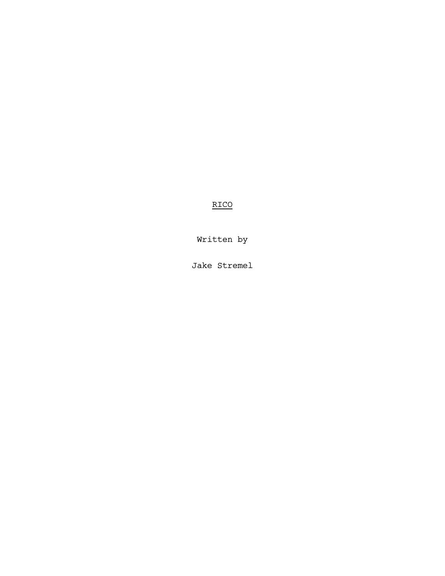RICO

Written by

Jake Stremel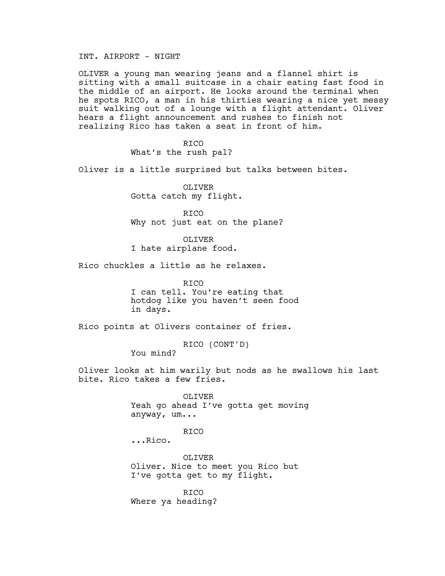INT. AIRPORT - NIGHT

OLIVER a young man wearing jeans and a flannel shirt is sitting with a small suitcase in a chair eating fast food in the middle of an airport. He looks around the terminal when he spots RICO, a man in his thirties wearing a nice yet messy suit walking out of a lounge with a flight attendant. Oliver hears a flight announcement and rushes to finish not realizing Rico has taken a seat in front of him.

> RICO What's the rush pal?

Oliver is a little surprised but talks between bites.

OLIVER Gotta catch my flight.

RICO Why not just eat on the plane?

OLIVER I hate airplane food.

Rico chuckles a little as he relaxes.

RICO I can tell. You're eating that hotdog like you haven't seen food in days.

Rico points at Olivers container of fries.

RICO (CONT'D)

You mind?

Oliver looks at him warily but nods as he swallows his last bite. Rico takes a few fries.

> OLIVER Yeah go ahead I've gotta get moving anyway, um...

> > RICO

...Rico.

OLIVER Oliver. Nice to meet you Rico but I've gotta get to my flight.

RICO Where ya heading?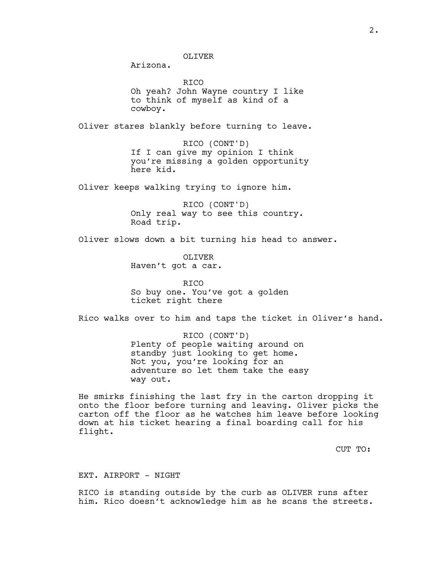OLIVER

Arizona.

RICO Oh yeah? John Wayne country I like to think of myself as kind of a cowboy.

Oliver stares blankly before turning to leave.

RICO (CONT'D) If I can give my opinion I think you're missing a golden opportunity here kid.

Oliver keeps walking trying to ignore him.

RICO (CONT'D) Only real way to see this country. Road trip.

Oliver slows down a bit turning his head to answer.

OLIVER Haven't got a car.

RICO So buy one. You've got a golden ticket right there

Rico walks over to him and taps the ticket in Oliver's hand.

RICO (CONT'D) Plenty of people waiting around on standby just looking to get home. Not you, you're looking for an adventure so let them take the easy way out.

He smirks finishing the last fry in the carton dropping it onto the floor before turning and leaving. Oliver picks the carton off the floor as he watches him leave before looking down at his ticket hearing a final boarding call for his flight.

CUT TO:

### EXT. AIRPORT - NIGHT

RICO is standing outside by the curb as OLIVER runs after him. Rico doesn't acknowledge him as he scans the streets.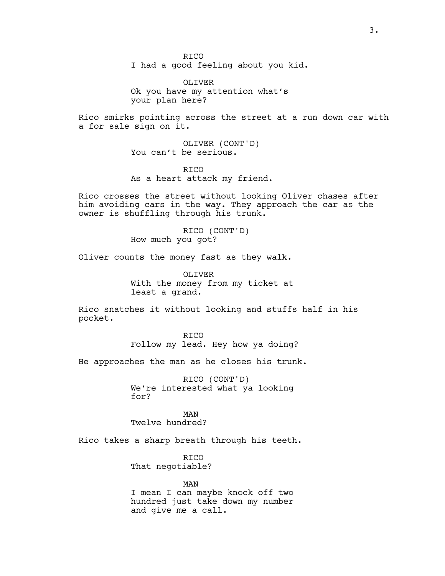**RTCO** I had a good feeling about you kid.

OLIVER Ok you have my attention what's your plan here?

Rico smirks pointing across the street at a run down car with a for sale sign on it.

> OLIVER (CONT'D) You can't be serious.

**RTCO** As a heart attack my friend.

Rico crosses the street without looking Oliver chases after him avoiding cars in the way. They approach the car as the owner is shuffling through his trunk.

> RICO (CONT'D) How much you got?

Oliver counts the money fast as they walk.

OLIVER With the money from my ticket at least a grand.

Rico snatches it without looking and stuffs half in his pocket.

> RICO Follow my lead. Hey how ya doing?

He approaches the man as he closes his trunk.

RICO (CONT'D) We're interested what ya looking for?

MAN Twelve hundred?

Rico takes a sharp breath through his teeth.

RICO That negotiable?

MAN I mean I can maybe knock off two hundred just take down my number and give me a call.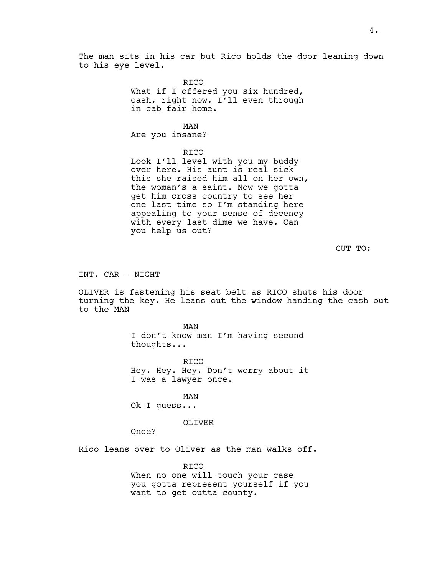The man sits in his car but Rico holds the door leaning down to his eye level.

> RICO What if I offered you six hundred, cash, right now. I'll even through in cab fair home.

MAN Are you insane?

RICO

Look I'll level with you my buddy over here. His aunt is real sick this she raised him all on her own, the woman's a saint. Now we gotta get him cross country to see her one last time so I'm standing here appealing to your sense of decency with every last dime we have. Can you help us out?

CUT TO:

INT. CAR - NIGHT

OLIVER is fastening his seat belt as RICO shuts his door turning the key. He leans out the window handing the cash out to the MAN

> MAN I don't know man I'm having second thoughts...

RICO Hey. Hey. Hey. Don't worry about it I was a lawyer once.

MAN Ok I guess...

#### OLIVER

Once?

Rico leans over to Oliver as the man walks off.

RICO When no one will touch your case you gotta represent yourself if you want to get outta county.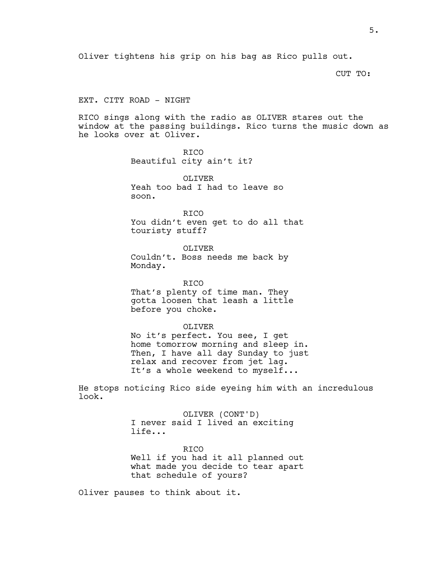CUT TO:

#### EXT. CITY ROAD - NIGHT

RICO sings along with the radio as OLIVER stares out the window at the passing buildings. Rico turns the music down as he looks over at Oliver.

> RICO Beautiful city ain't it?

OLIVER Yeah too bad I had to leave so soon.

RICO You didn't even get to do all that touristy stuff?

OLIVER Couldn't. Boss needs me back by Monday.

RICO That's plenty of time man. They gotta loosen that leash a little before you choke.

OLIVER No it's perfect. You see, I get home tomorrow morning and sleep in. Then, I have all day Sunday to just relax and recover from jet lag. It's a whole weekend to myself...

He stops noticing Rico side eyeing him with an incredulous look.

> OLIVER (CONT'D) I never said I lived an exciting life...

RICO Well if you had it all planned out what made you decide to tear apart that schedule of yours?

Oliver pauses to think about it.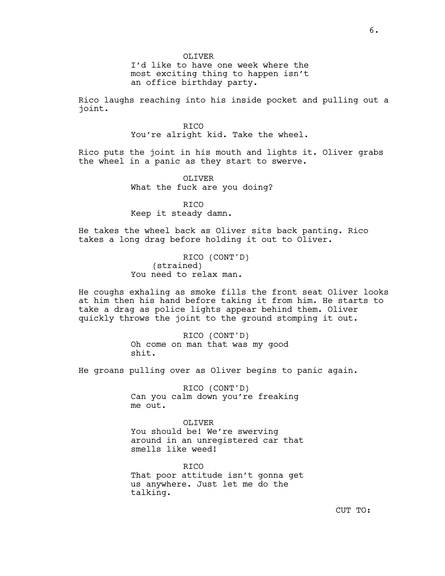OLIVER

I'd like to have one week where the most exciting thing to happen isn't an office birthday party.

Rico laughs reaching into his inside pocket and pulling out a joint.

> **RTCO** You're alright kid. Take the wheel.

Rico puts the joint in his mouth and lights it. Oliver grabs the wheel in a panic as they start to swerve.

> OLIVER What the fuck are you doing?

RICO Keep it steady damn.

He takes the wheel back as Oliver sits back panting. Rico takes a long drag before holding it out to Oliver.

> RICO (CONT'D) (strained) You need to relax man.

He coughs exhaling as smoke fills the front seat Oliver looks at him then his hand before taking it from him. He starts to take a drag as police lights appear behind them. Oliver quickly throws the joint to the ground stomping it out.

> RICO (CONT'D) Oh come on man that was my good shit.

He groans pulling over as Oliver begins to panic again.

RICO (CONT'D) Can you calm down you're freaking me out.

OLIVER You should be! We're swerving around in an unregistered car that smells like weed!

RICO That poor attitude isn't gonna get us anywhere. Just let me do the talking.

CUT TO: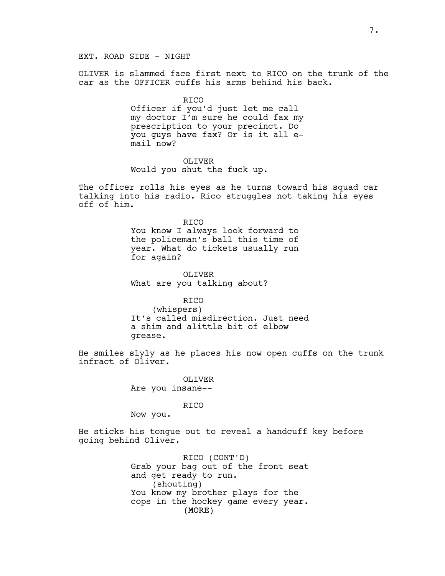OLIVER is slammed face first next to RICO on the trunk of the car as the OFFICER cuffs his arms behind his back.

> RICO Officer if you'd just let me call my doctor I'm sure he could fax my prescription to your precinct. Do you guys have fax? Or is it all email now?

OLIVER Would you shut the fuck up.

The officer rolls his eyes as he turns toward his squad car talking into his radio. Rico struggles not taking his eyes off of him.

> RICO You know I always look forward to the policeman's ball this time of year. What do tickets usually run for again?

OLIVER What are you talking about?

RICO (whispers) It's called misdirection. Just need a shim and alittle bit of elbow grease.

He smiles slyly as he places his now open cuffs on the trunk infract of Oliver.

> OLIVER Are you insane--

> > RICO

Now you.

He sticks his tongue out to reveal a handcuff key before going behind Oliver.

> (MORE) RICO (CONT'D) Grab your bag out of the front seat and get ready to run. (shouting) You know my brother plays for the cops in the hockey game every year.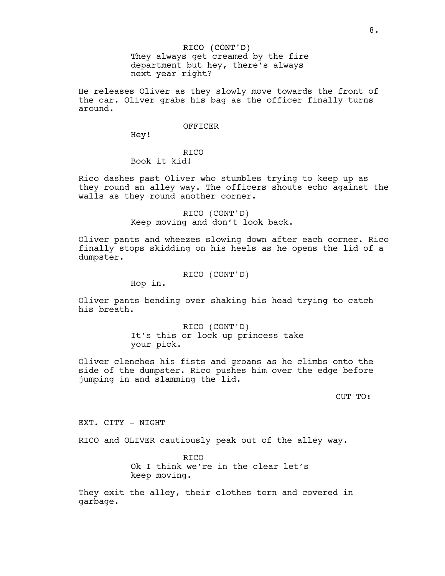RICO (CONT'D) They always get creamed by the fire department but hey, there's always next year right?

He releases Oliver as they slowly move towards the front of the car. Oliver grabs his bag as the officer finally turns around.

#### OFFICER

Hey!

### **RTCO** Book it kid!

Rico dashes past Oliver who stumbles trying to keep up as they round an alley way. The officers shouts echo against the walls as they round another corner.

# RICO (CONT'D) Keep moving and don't look back.

Oliver pants and wheezes slowing down after each corner. Rico finally stops skidding on his heels as he opens the lid of a dumpster.

## RICO (CONT'D)

Hop in.

Oliver pants bending over shaking his head trying to catch his breath.

> RICO (CONT'D) It's this or lock up princess take your pick.

Oliver clenches his fists and groans as he climbs onto the side of the dumpster. Rico pushes him over the edge before jumping in and slamming the lid.

CUT TO:

EXT. CITY - NIGHT

RICO and OLIVER cautiously peak out of the alley way.

**RTCO** Ok I think we're in the clear let's keep moving.

They exit the alley, their clothes torn and covered in garbage.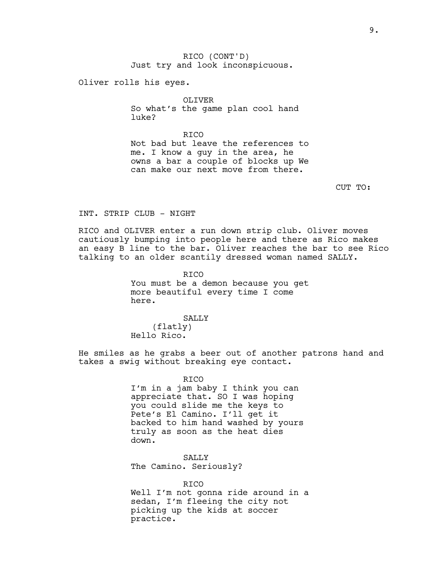9.

RICO (CONT'D) Just try and look inconspicuous.

Oliver rolls his eyes.

OLIVER

So what's the game plan cool hand luke?

**RTCO** Not bad but leave the references to me. I know a guy in the area, he owns a bar a couple of blocks up We can make our next move from there.

CUT TO:

INT. STRIP CLUB - NIGHT

RICO and OLIVER enter a run down strip club. Oliver moves cautiously bumping into people here and there as Rico makes an easy B line to the bar. Oliver reaches the bar to see Rico talking to an older scantily dressed woman named SALLY.

> RICO You must be a demon because you get more beautiful every time I come here.

> > SALLY

(flatly) Hello Rico.

He smiles as he grabs a beer out of another patrons hand and takes a swig without breaking eye contact.

> RICO I'm in a jam baby I think you can appreciate that. SO I was hoping you could slide me the keys to Pete's El Camino. I'll get it backed to him hand washed by yours truly as soon as the heat dies down.

SALLY The Camino. Seriously?

RICO Well I'm not gonna ride around in a sedan, I'm fleeing the city not picking up the kids at soccer practice.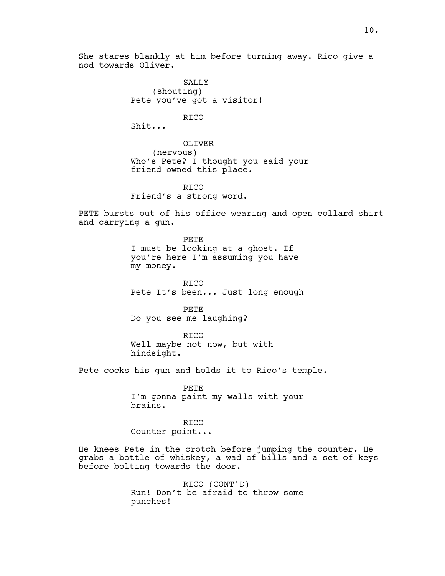She stares blankly at him before turning away. Rico give a nod towards Oliver.

> **SALLY** (shouting) Pete you've got a visitor!

> > RICO

Shit...

OLIVER (nervous) Who's Pete? I thought you said your friend owned this place.

RICO Friend's a strong word.

PETE bursts out of his office wearing and open collard shirt and carrying a gun.

> PETE I must be looking at a ghost. If you're here I'm assuming you have my money.

RICO Pete It's been... Just long enough

PETE Do you see me laughing?

RICO Well maybe not now, but with hindsight.

Pete cocks his gun and holds it to Rico's temple.

PETE I'm gonna paint my walls with your brains.

RICO Counter point...

He knees Pete in the crotch before jumping the counter. He grabs a bottle of whiskey, a wad of bills and a set of keys before bolting towards the door.

> RICO (CONT'D) Run! Don't be afraid to throw some punches!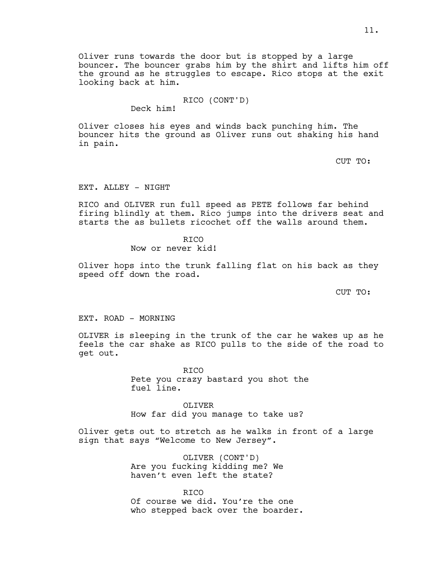Oliver runs towards the door but is stopped by a large bouncer. The bouncer grabs him by the shirt and lifts him off the ground as he struggles to escape. Rico stops at the exit looking back at him.

## RICO (CONT'D)

Deck him!

Oliver closes his eyes and winds back punching him. The bouncer hits the ground as Oliver runs out shaking his hand in pain.

CUT TO:

### EXT. ALLEY - NIGHT

RICO and OLIVER run full speed as PETE follows far behind firing blindly at them. Rico jumps into the drivers seat and starts the as bullets ricochet off the walls around them.

# **RTCO** Now or never kid!

Oliver hops into the trunk falling flat on his back as they speed off down the road.

CUT TO:

EXT. ROAD - MORNING

OLIVER is sleeping in the trunk of the car he wakes up as he feels the car shake as RICO pulls to the side of the road to get out.

> RICO Pete you crazy bastard you shot the fuel line.

OLIVER How far did you manage to take us?

Oliver gets out to stretch as he walks in front of a large sign that says "Welcome to New Jersey".

> OLIVER (CONT'D) Are you fucking kidding me? We haven't even left the state?

RICO Of course we did. You're the one who stepped back over the boarder.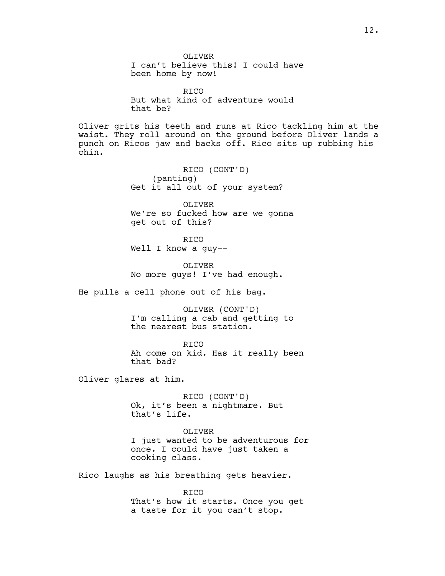OLIVER I can't believe this! I could have been home by now!

**RTCO** But what kind of adventure would that be?

Oliver grits his teeth and runs at Rico tackling him at the waist. They roll around on the ground before Oliver lands a punch on Ricos jaw and backs off. Rico sits up rubbing his chin.

> RICO (CONT'D) (panting) Get it all out of your system?

OLIVER We're so fucked how are we gonna get out of this?

RICO Well I know a guy--

OLIVER No more guys! I've had enough.

He pulls a cell phone out of his bag.

OLIVER (CONT'D) I'm calling a cab and getting to the nearest bus station.

**RTCO** Ah come on kid. Has it really been that bad?

Oliver glares at him.

RICO (CONT'D) Ok, it's been a nightmare. But that's life.

### OLIVER

I just wanted to be adventurous for once. I could have just taken a cooking class.

Rico laughs as his breathing gets heavier.

RICO That's how it starts. Once you get a taste for it you can't stop.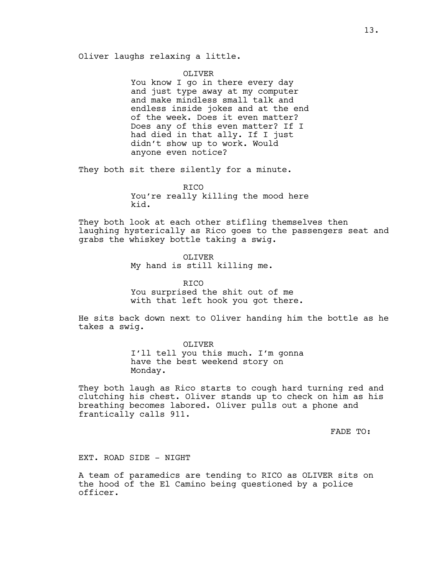Oliver laughs relaxing a little.

#### OLIVER

You know I go in there every day and just type away at my computer and make mindless small talk and endless inside jokes and at the end of the week. Does it even matter? Does any of this even matter? If I had died in that ally. If I just didn't show up to work. Would anyone even notice?

They both sit there silently for a minute.

**RTCO** You're really killing the mood here kid.

They both look at each other stifling themselves then laughing hysterically as Rico goes to the passengers seat and grabs the whiskey bottle taking a swig.

> OLIVER My hand is still killing me.

**RTCO** You surprised the shit out of me with that left hook you got there.

He sits back down next to Oliver handing him the bottle as he takes a swig.

> OLIVER I'll tell you this much. I'm gonna have the best weekend story on Monday.

They both laugh as Rico starts to cough hard turning red and clutching his chest. Oliver stands up to check on him as his breathing becomes labored. Oliver pulls out a phone and frantically calls 911.

FADE TO:

EXT. ROAD SIDE - NIGHT

A team of paramedics are tending to RICO as OLIVER sits on the hood of the El Camino being questioned by a police officer.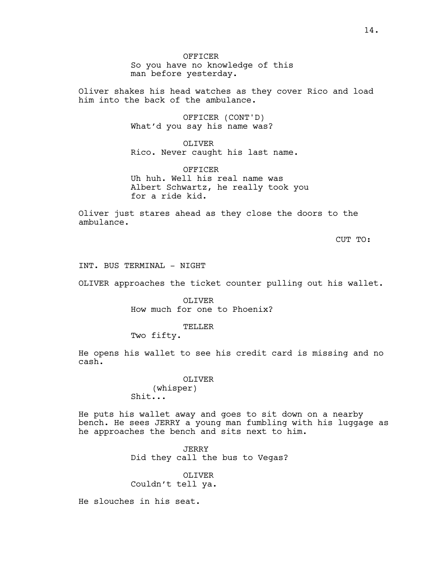**OFFICER** So you have no knowledge of this man before yesterday.

Oliver shakes his head watches as they cover Rico and load him into the back of the ambulance.

> OFFICER (CONT'D) What'd you say his name was?

OLIVER Rico. Never caught his last name.

OFFICER Uh huh. Well his real name was Albert Schwartz, he really took you for a ride kid.

Oliver just stares ahead as they close the doors to the ambulance.

CUT TO:

INT. BUS TERMINAL - NIGHT

OLIVER approaches the ticket counter pulling out his wallet.

OLIVER How much for one to Phoenix?

### TELLER

Two fifty.

He opens his wallet to see his credit card is missing and no cash.

## OLIVER

(whisper) Shit...

He puts his wallet away and goes to sit down on a nearby bench. He sees JERRY a young man fumbling with his luggage as he approaches the bench and sits next to him.

> JERRY Did they call the bus to Vegas?

# OLIVER Couldn't tell ya.

He slouches in his seat.